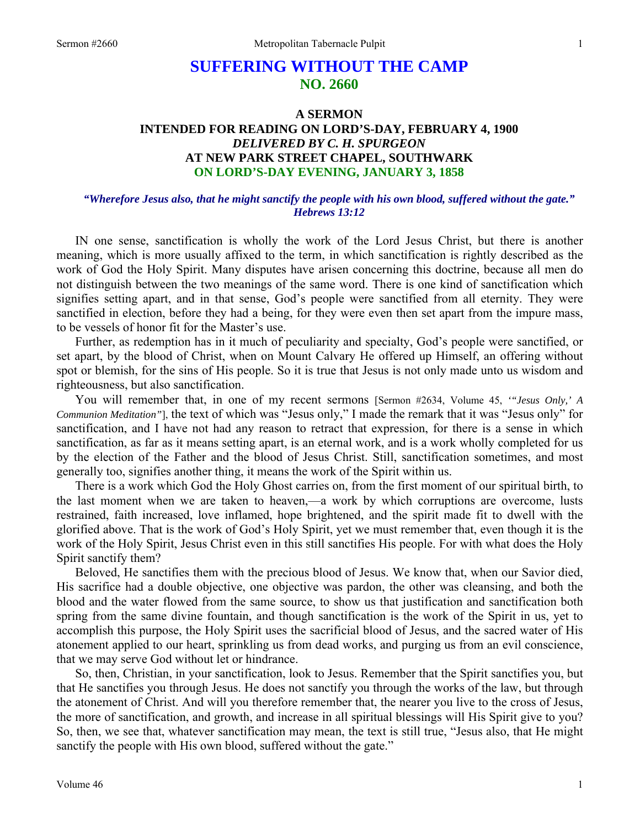# **SUFFERING WITHOUT THE CAMP NO. 2660**

## **A SERMON INTENDED FOR READING ON LORD'S-DAY, FEBRUARY 4, 1900**  *DELIVERED BY C. H. SPURGEON*  **AT NEW PARK STREET CHAPEL, SOUTHWARK ON LORD'S-DAY EVENING, JANUARY 3, 1858**

#### *"Wherefore Jesus also, that he might sanctify the people with his own blood, suffered without the gate." Hebrews 13:12*

IN one sense, sanctification is wholly the work of the Lord Jesus Christ, but there is another meaning, which is more usually affixed to the term, in which sanctification is rightly described as the work of God the Holy Spirit. Many disputes have arisen concerning this doctrine, because all men do not distinguish between the two meanings of the same word. There is one kind of sanctification which signifies setting apart, and in that sense, God's people were sanctified from all eternity. They were sanctified in election, before they had a being, for they were even then set apart from the impure mass, to be vessels of honor fit for the Master's use.

Further, as redemption has in it much of peculiarity and specialty, God's people were sanctified, or set apart, by the blood of Christ, when on Mount Calvary He offered up Himself, an offering without spot or blemish, for the sins of His people. So it is true that Jesus is not only made unto us wisdom and righteousness, but also sanctification.

You will remember that, in one of my recent sermons [Sermon #2634, Volume 45, *'"Jesus Only,' A Communion Meditation"*], the text of which was "Jesus only," I made the remark that it was "Jesus only" for sanctification, and I have not had any reason to retract that expression, for there is a sense in which sanctification, as far as it means setting apart, is an eternal work, and is a work wholly completed for us by the election of the Father and the blood of Jesus Christ. Still, sanctification sometimes, and most generally too, signifies another thing, it means the work of the Spirit within us.

There is a work which God the Holy Ghost carries on, from the first moment of our spiritual birth, to the last moment when we are taken to heaven,—a work by which corruptions are overcome, lusts restrained, faith increased, love inflamed, hope brightened, and the spirit made fit to dwell with the glorified above. That is the work of God's Holy Spirit, yet we must remember that, even though it is the work of the Holy Spirit, Jesus Christ even in this still sanctifies His people. For with what does the Holy Spirit sanctify them?

Beloved, He sanctifies them with the precious blood of Jesus. We know that, when our Savior died, His sacrifice had a double objective, one objective was pardon, the other was cleansing, and both the blood and the water flowed from the same source, to show us that justification and sanctification both spring from the same divine fountain, and though sanctification is the work of the Spirit in us, yet to accomplish this purpose, the Holy Spirit uses the sacrificial blood of Jesus, and the sacred water of His atonement applied to our heart, sprinkling us from dead works, and purging us from an evil conscience, that we may serve God without let or hindrance.

So, then, Christian, in your sanctification, look to Jesus. Remember that the Spirit sanctifies you, but that He sanctifies you through Jesus. He does not sanctify you through the works of the law, but through the atonement of Christ. And will you therefore remember that, the nearer you live to the cross of Jesus, the more of sanctification, and growth, and increase in all spiritual blessings will His Spirit give to you? So, then, we see that, whatever sanctification may mean, the text is still true, "Jesus also, that He might sanctify the people with His own blood, suffered without the gate."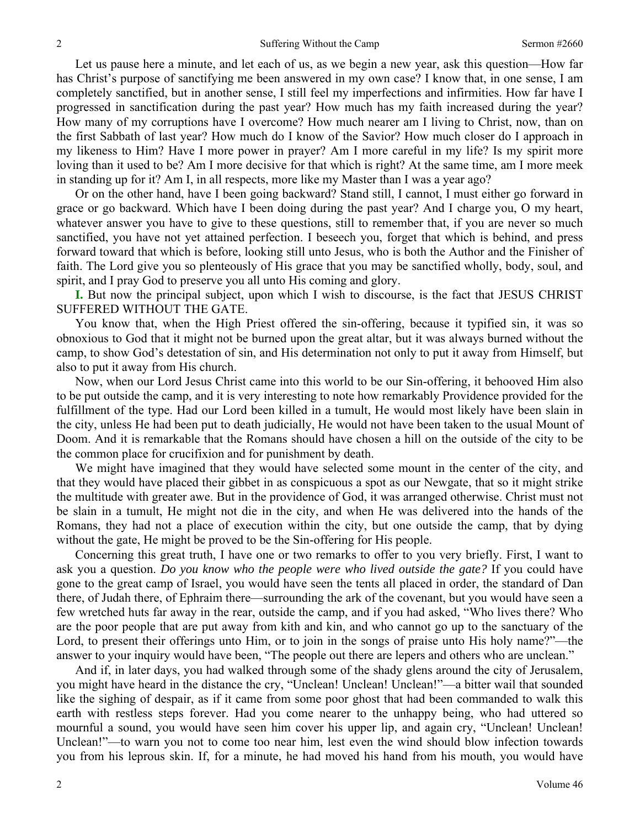Let us pause here a minute, and let each of us, as we begin a new year, ask this question—How far has Christ's purpose of sanctifying me been answered in my own case? I know that, in one sense, I am completely sanctified, but in another sense, I still feel my imperfections and infirmities. How far have I progressed in sanctification during the past year? How much has my faith increased during the year? How many of my corruptions have I overcome? How much nearer am I living to Christ, now, than on the first Sabbath of last year? How much do I know of the Savior? How much closer do I approach in my likeness to Him? Have I more power in prayer? Am I more careful in my life? Is my spirit more loving than it used to be? Am I more decisive for that which is right? At the same time, am I more meek in standing up for it? Am I, in all respects, more like my Master than I was a year ago?

Or on the other hand, have I been going backward? Stand still, I cannot, I must either go forward in grace or go backward. Which have I been doing during the past year? And I charge you, O my heart, whatever answer you have to give to these questions, still to remember that, if you are never so much sanctified, you have not yet attained perfection. I beseech you, forget that which is behind, and press forward toward that which is before, looking still unto Jesus, who is both the Author and the Finisher of faith. The Lord give you so plenteously of His grace that you may be sanctified wholly, body, soul, and spirit, and I pray God to preserve you all unto His coming and glory.

**I.** But now the principal subject, upon which I wish to discourse, is the fact that JESUS CHRIST SUFFERED WITHOUT THE GATE.

You know that, when the High Priest offered the sin-offering, because it typified sin, it was so obnoxious to God that it might not be burned upon the great altar, but it was always burned without the camp, to show God's detestation of sin, and His determination not only to put it away from Himself, but also to put it away from His church.

Now, when our Lord Jesus Christ came into this world to be our Sin-offering, it behooved Him also to be put outside the camp, and it is very interesting to note how remarkably Providence provided for the fulfillment of the type. Had our Lord been killed in a tumult, He would most likely have been slain in the city, unless He had been put to death judicially, He would not have been taken to the usual Mount of Doom. And it is remarkable that the Romans should have chosen a hill on the outside of the city to be the common place for crucifixion and for punishment by death.

We might have imagined that they would have selected some mount in the center of the city, and that they would have placed their gibbet in as conspicuous a spot as our Newgate, that so it might strike the multitude with greater awe. But in the providence of God, it was arranged otherwise. Christ must not be slain in a tumult, He might not die in the city, and when He was delivered into the hands of the Romans, they had not a place of execution within the city, but one outside the camp, that by dying without the gate, He might be proved to be the Sin-offering for His people.

Concerning this great truth, I have one or two remarks to offer to you very briefly. First, I want to ask you a question. *Do you know who the people were who lived outside the gate?* If you could have gone to the great camp of Israel, you would have seen the tents all placed in order, the standard of Dan there, of Judah there, of Ephraim there—surrounding the ark of the covenant, but you would have seen a few wretched huts far away in the rear, outside the camp, and if you had asked, "Who lives there? Who are the poor people that are put away from kith and kin, and who cannot go up to the sanctuary of the Lord, to present their offerings unto Him, or to join in the songs of praise unto His holy name?"—the answer to your inquiry would have been, "The people out there are lepers and others who are unclean."

And if, in later days, you had walked through some of the shady glens around the city of Jerusalem, you might have heard in the distance the cry, "Unclean! Unclean! Unclean!"—a bitter wail that sounded like the sighing of despair, as if it came from some poor ghost that had been commanded to walk this earth with restless steps forever. Had you come nearer to the unhappy being, who had uttered so mournful a sound, you would have seen him cover his upper lip, and again cry, "Unclean! Unclean! Unclean!"—to warn you not to come too near him, lest even the wind should blow infection towards you from his leprous skin. If, for a minute, he had moved his hand from his mouth, you would have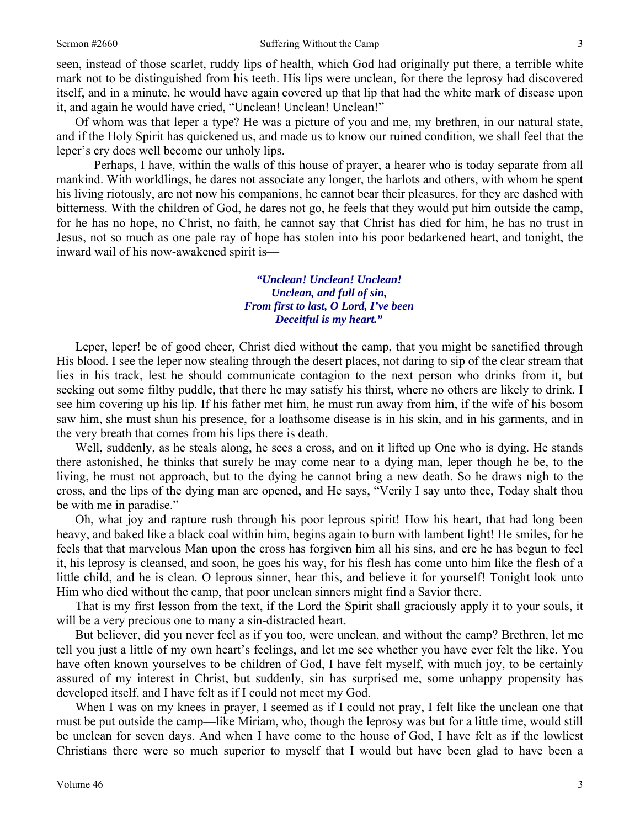seen, instead of those scarlet, ruddy lips of health, which God had originally put there, a terrible white mark not to be distinguished from his teeth. His lips were unclean, for there the leprosy had discovered itself, and in a minute, he would have again covered up that lip that had the white mark of disease upon it, and again he would have cried, "Unclean! Unclean! Unclean!"

Of whom was that leper a type? He was a picture of you and me, my brethren, in our natural state, and if the Holy Spirit has quickened us, and made us to know our ruined condition, we shall feel that the leper's cry does well become our unholy lips.

 Perhaps, I have, within the walls of this house of prayer, a hearer who is today separate from all mankind. With worldlings, he dares not associate any longer, the harlots and others, with whom he spent his living riotously, are not now his companions, he cannot bear their pleasures, for they are dashed with bitterness. With the children of God, he dares not go, he feels that they would put him outside the camp, for he has no hope, no Christ, no faith, he cannot say that Christ has died for him, he has no trust in Jesus, not so much as one pale ray of hope has stolen into his poor bedarkened heart, and tonight, the inward wail of his now-awakened spirit is—

## *"Unclean! Unclean! Unclean! Unclean, and full of sin, From first to last, O Lord, I've been Deceitful is my heart."*

Leper, leper! be of good cheer, Christ died without the camp, that you might be sanctified through His blood. I see the leper now stealing through the desert places, not daring to sip of the clear stream that lies in his track, lest he should communicate contagion to the next person who drinks from it, but seeking out some filthy puddle, that there he may satisfy his thirst, where no others are likely to drink. I see him covering up his lip. If his father met him, he must run away from him, if the wife of his bosom saw him, she must shun his presence, for a loathsome disease is in his skin, and in his garments, and in the very breath that comes from his lips there is death.

Well, suddenly, as he steals along, he sees a cross, and on it lifted up One who is dying. He stands there astonished, he thinks that surely he may come near to a dying man, leper though he be, to the living, he must not approach, but to the dying he cannot bring a new death. So he draws nigh to the cross, and the lips of the dying man are opened, and He says, "Verily I say unto thee, Today shalt thou be with me in paradise."

Oh, what joy and rapture rush through his poor leprous spirit! How his heart, that had long been heavy, and baked like a black coal within him, begins again to burn with lambent light! He smiles, for he feels that that marvelous Man upon the cross has forgiven him all his sins, and ere he has begun to feel it, his leprosy is cleansed, and soon, he goes his way, for his flesh has come unto him like the flesh of a little child, and he is clean. O leprous sinner, hear this, and believe it for yourself! Tonight look unto Him who died without the camp, that poor unclean sinners might find a Savior there.

That is my first lesson from the text, if the Lord the Spirit shall graciously apply it to your souls, it will be a very precious one to many a sin-distracted heart.

But believer, did you never feel as if you too, were unclean, and without the camp? Brethren, let me tell you just a little of my own heart's feelings, and let me see whether you have ever felt the like. You have often known yourselves to be children of God, I have felt myself, with much joy, to be certainly assured of my interest in Christ, but suddenly, sin has surprised me, some unhappy propensity has developed itself, and I have felt as if I could not meet my God.

When I was on my knees in prayer, I seemed as if I could not pray, I felt like the unclean one that must be put outside the camp—like Miriam, who, though the leprosy was but for a little time, would still be unclean for seven days. And when I have come to the house of God, I have felt as if the lowliest Christians there were so much superior to myself that I would but have been glad to have been a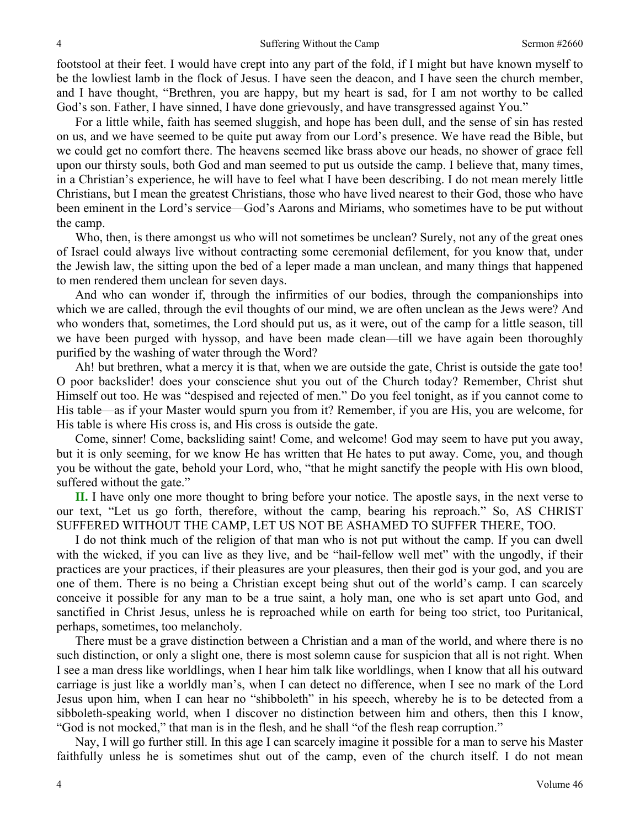footstool at their feet. I would have crept into any part of the fold, if I might but have known myself to be the lowliest lamb in the flock of Jesus. I have seen the deacon, and I have seen the church member, and I have thought, "Brethren, you are happy, but my heart is sad, for I am not worthy to be called God's son. Father, I have sinned, I have done grievously, and have transgressed against You."

For a little while, faith has seemed sluggish, and hope has been dull, and the sense of sin has rested on us, and we have seemed to be quite put away from our Lord's presence. We have read the Bible, but we could get no comfort there. The heavens seemed like brass above our heads, no shower of grace fell upon our thirsty souls, both God and man seemed to put us outside the camp. I believe that, many times, in a Christian's experience, he will have to feel what I have been describing. I do not mean merely little Christians, but I mean the greatest Christians, those who have lived nearest to their God, those who have been eminent in the Lord's service—God's Aarons and Miriams, who sometimes have to be put without the camp.

Who, then, is there amongst us who will not sometimes be unclean? Surely, not any of the great ones of Israel could always live without contracting some ceremonial defilement, for you know that, under the Jewish law, the sitting upon the bed of a leper made a man unclean, and many things that happened to men rendered them unclean for seven days.

And who can wonder if, through the infirmities of our bodies, through the companionships into which we are called, through the evil thoughts of our mind, we are often unclean as the Jews were? And who wonders that, sometimes, the Lord should put us, as it were, out of the camp for a little season, till we have been purged with hyssop, and have been made clean—till we have again been thoroughly purified by the washing of water through the Word?

Ah! but brethren, what a mercy it is that, when we are outside the gate, Christ is outside the gate too! O poor backslider! does your conscience shut you out of the Church today? Remember, Christ shut Himself out too. He was "despised and rejected of men." Do you feel tonight, as if you cannot come to His table—as if your Master would spurn you from it? Remember, if you are His, you are welcome, for His table is where His cross is, and His cross is outside the gate.

Come, sinner! Come, backsliding saint! Come, and welcome! God may seem to have put you away, but it is only seeming, for we know He has written that He hates to put away. Come, you, and though you be without the gate, behold your Lord, who, "that he might sanctify the people with His own blood, suffered without the gate."

**II.** I have only one more thought to bring before your notice. The apostle says, in the next verse to our text, "Let us go forth, therefore, without the camp, bearing his reproach." So, AS CHRIST SUFFERED WITHOUT THE CAMP, LET US NOT BE ASHAMED TO SUFFER THERE, TOO.

I do not think much of the religion of that man who is not put without the camp. If you can dwell with the wicked, if you can live as they live, and be "hail-fellow well met" with the ungodly, if their practices are your practices, if their pleasures are your pleasures, then their god is your god, and you are one of them. There is no being a Christian except being shut out of the world's camp. I can scarcely conceive it possible for any man to be a true saint, a holy man, one who is set apart unto God, and sanctified in Christ Jesus, unless he is reproached while on earth for being too strict, too Puritanical, perhaps, sometimes, too melancholy.

There must be a grave distinction between a Christian and a man of the world, and where there is no such distinction, or only a slight one, there is most solemn cause for suspicion that all is not right. When I see a man dress like worldlings, when I hear him talk like worldlings, when I know that all his outward carriage is just like a worldly man's, when I can detect no difference, when I see no mark of the Lord Jesus upon him, when I can hear no "shibboleth" in his speech, whereby he is to be detected from a sibboleth-speaking world, when I discover no distinction between him and others, then this I know, "God is not mocked," that man is in the flesh, and he shall "of the flesh reap corruption."

Nay, I will go further still. In this age I can scarcely imagine it possible for a man to serve his Master faithfully unless he is sometimes shut out of the camp, even of the church itself. I do not mean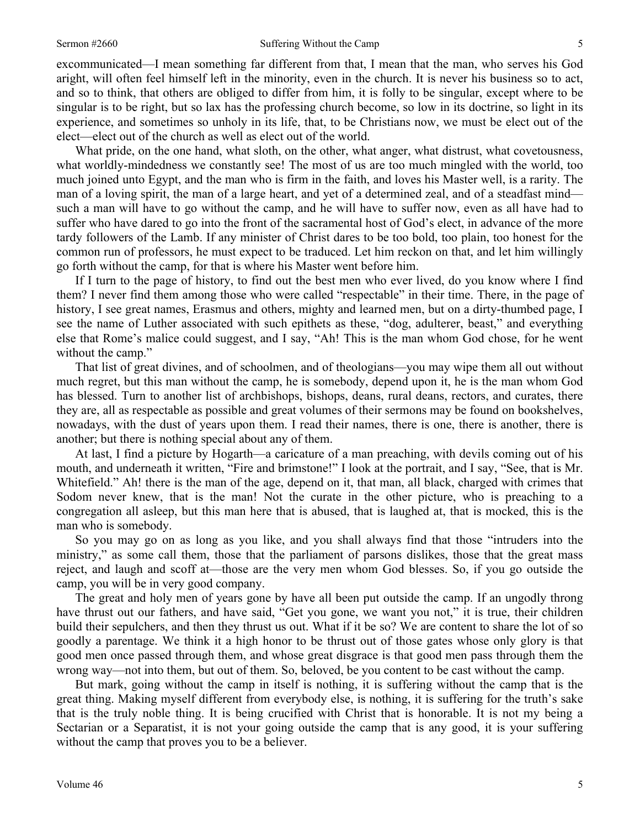#### Sermon #2660 Suffering Without the Camp 5

excommunicated—I mean something far different from that, I mean that the man, who serves his God aright, will often feel himself left in the minority, even in the church. It is never his business so to act, and so to think, that others are obliged to differ from him, it is folly to be singular, except where to be singular is to be right, but so lax has the professing church become, so low in its doctrine, so light in its experience, and sometimes so unholy in its life, that, to be Christians now, we must be elect out of the elect—elect out of the church as well as elect out of the world.

What pride, on the one hand, what sloth, on the other, what anger, what distrust, what covetousness, what worldly-mindedness we constantly see! The most of us are too much mingled with the world, too much joined unto Egypt, and the man who is firm in the faith, and loves his Master well, is a rarity. The man of a loving spirit, the man of a large heart, and yet of a determined zeal, and of a steadfast mind such a man will have to go without the camp, and he will have to suffer now, even as all have had to suffer who have dared to go into the front of the sacramental host of God's elect, in advance of the more tardy followers of the Lamb. If any minister of Christ dares to be too bold, too plain, too honest for the common run of professors, he must expect to be traduced. Let him reckon on that, and let him willingly go forth without the camp, for that is where his Master went before him.

If I turn to the page of history, to find out the best men who ever lived, do you know where I find them? I never find them among those who were called "respectable" in their time. There, in the page of history, I see great names, Erasmus and others, mighty and learned men, but on a dirty-thumbed page, I see the name of Luther associated with such epithets as these, "dog, adulterer, beast," and everything else that Rome's malice could suggest, and I say, "Ah! This is the man whom God chose, for he went without the camp."

That list of great divines, and of schoolmen, and of theologians—you may wipe them all out without much regret, but this man without the camp, he is somebody, depend upon it, he is the man whom God has blessed. Turn to another list of archbishops, bishops, deans, rural deans, rectors, and curates, there they are, all as respectable as possible and great volumes of their sermons may be found on bookshelves, nowadays, with the dust of years upon them. I read their names, there is one, there is another, there is another; but there is nothing special about any of them.

At last, I find a picture by Hogarth—a caricature of a man preaching, with devils coming out of his mouth, and underneath it written, "Fire and brimstone!" I look at the portrait, and I say, "See, that is Mr. Whitefield." Ah! there is the man of the age, depend on it, that man, all black, charged with crimes that Sodom never knew, that is the man! Not the curate in the other picture, who is preaching to a congregation all asleep, but this man here that is abused, that is laughed at, that is mocked, this is the man who is somebody.

So you may go on as long as you like, and you shall always find that those "intruders into the ministry," as some call them, those that the parliament of parsons dislikes, those that the great mass reject, and laugh and scoff at—those are the very men whom God blesses. So, if you go outside the camp, you will be in very good company.

The great and holy men of years gone by have all been put outside the camp. If an ungodly throng have thrust out our fathers, and have said, "Get you gone, we want you not," it is true, their children build their sepulchers, and then they thrust us out. What if it be so? We are content to share the lot of so goodly a parentage. We think it a high honor to be thrust out of those gates whose only glory is that good men once passed through them, and whose great disgrace is that good men pass through them the wrong way—not into them, but out of them. So, beloved, be you content to be cast without the camp.

But mark, going without the camp in itself is nothing, it is suffering without the camp that is the great thing. Making myself different from everybody else, is nothing, it is suffering for the truth's sake that is the truly noble thing. It is being crucified with Christ that is honorable. It is not my being a Sectarian or a Separatist, it is not your going outside the camp that is any good, it is your suffering without the camp that proves you to be a believer.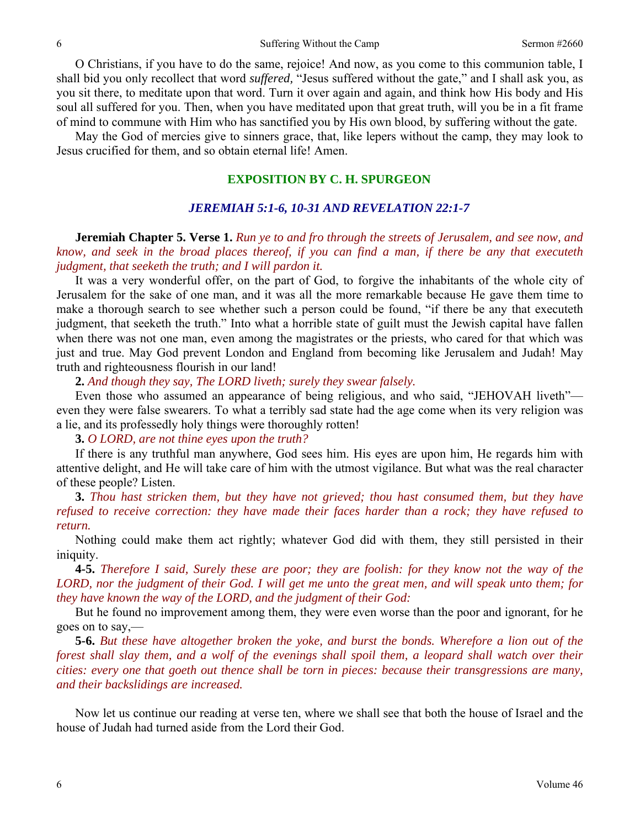O Christians, if you have to do the same, rejoice! And now, as you come to this communion table, I shall bid you only recollect that word *suffered,* "Jesus suffered without the gate," and I shall ask you, as you sit there, to meditate upon that word. Turn it over again and again, and think how His body and His soul all suffered for you. Then, when you have meditated upon that great truth, will you be in a fit frame of mind to commune with Him who has sanctified you by His own blood, by suffering without the gate.

May the God of mercies give to sinners grace, that, like lepers without the camp, they may look to Jesus crucified for them, and so obtain eternal life! Amen.

## **EXPOSITION BY C. H. SPURGEON**

#### *JEREMIAH 5:1-6, 10-31 AND REVELATION 22:1-7*

**Jeremiah Chapter 5. Verse 1.** *Run ye to and fro through the streets of Jerusalem, and see now, and know, and seek in the broad places thereof, if you can find a man, if there be any that executeth judgment, that seeketh the truth; and I will pardon it.* 

It was a very wonderful offer, on the part of God, to forgive the inhabitants of the whole city of Jerusalem for the sake of one man, and it was all the more remarkable because He gave them time to make a thorough search to see whether such a person could be found, "if there be any that executeth judgment, that seeketh the truth." Into what a horrible state of guilt must the Jewish capital have fallen when there was not one man, even among the magistrates or the priests, who cared for that which was just and true. May God prevent London and England from becoming like Jerusalem and Judah! May truth and righteousness flourish in our land!

**2.** *And though they say, The LORD liveth; surely they swear falsely.* 

Even those who assumed an appearance of being religious, and who said, "JEHOVAH liveth" even they were false swearers. To what a terribly sad state had the age come when its very religion was a lie, and its professedly holy things were thoroughly rotten!

**3.** *O LORD, are not thine eyes upon the truth?* 

If there is any truthful man anywhere, God sees him. His eyes are upon him, He regards him with attentive delight, and He will take care of him with the utmost vigilance. But what was the real character of these people? Listen.

**3.** *Thou hast stricken them, but they have not grieved; thou hast consumed them, but they have refused to receive correction: they have made their faces harder than a rock; they have refused to return.* 

Nothing could make them act rightly; whatever God did with them, they still persisted in their iniquity.

**4-5.** *Therefore I said, Surely these are poor; they are foolish: for they know not the way of the LORD, nor the judgment of their God. I will get me unto the great men, and will speak unto them; for they have known the way of the LORD, and the judgment of their God:* 

But he found no improvement among them, they were even worse than the poor and ignorant, for he goes on to say,—

**5-6.** *But these have altogether broken the yoke, and burst the bonds. Wherefore a lion out of the forest shall slay them, and a wolf of the evenings shall spoil them, a leopard shall watch over their cities: every one that goeth out thence shall be torn in pieces: because their transgressions are many, and their backslidings are increased.* 

Now let us continue our reading at verse ten, where we shall see that both the house of Israel and the house of Judah had turned aside from the Lord their God.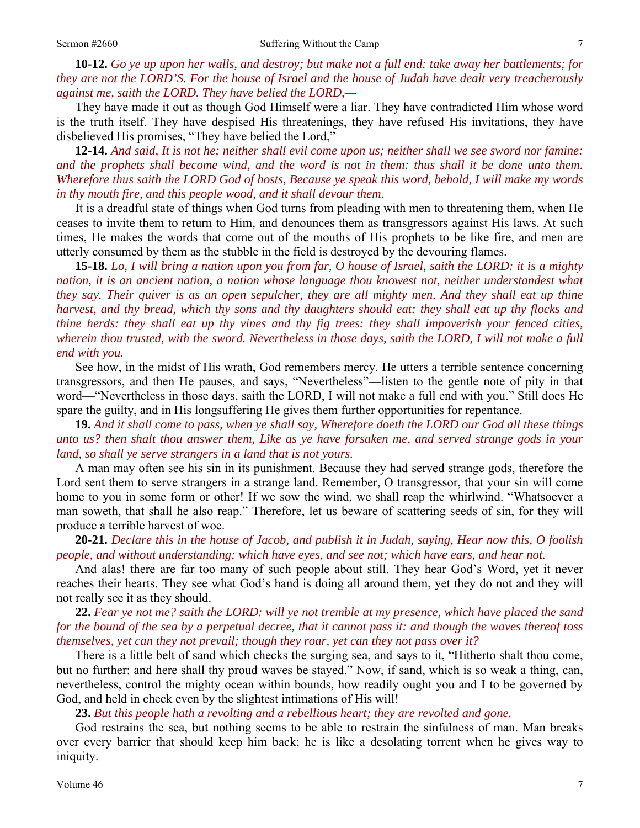**10-12.** *Go ye up upon her walls, and destroy; but make not a full end: take away her battlements; for they are not the LORD'S. For the house of Israel and the house of Judah have dealt very treacherously against me, saith the LORD. They have belied the LORD,—* 

They have made it out as though God Himself were a liar. They have contradicted Him whose word is the truth itself. They have despised His threatenings, they have refused His invitations, they have disbelieved His promises, "They have belied the Lord,"—

**12-14.** *And said, It is not he; neither shall evil come upon us; neither shall we see sword nor famine: and the prophets shall become wind, and the word is not in them: thus shall it be done unto them. Wherefore thus saith the LORD God of hosts, Because ye speak this word, behold, I will make my words in thy mouth fire, and this people wood, and it shall devour them.* 

It is a dreadful state of things when God turns from pleading with men to threatening them, when He ceases to invite them to return to Him, and denounces them as transgressors against His laws. At such times, He makes the words that come out of the mouths of His prophets to be like fire, and men are utterly consumed by them as the stubble in the field is destroyed by the devouring flames.

**15-18.** *Lo, I will bring a nation upon you from far, O house of Israel, saith the LORD: it is a mighty nation, it is an ancient nation, a nation whose language thou knowest not, neither understandest what they say. Their quiver is as an open sepulcher, they are all mighty men. And they shall eat up thine harvest, and thy bread, which thy sons and thy daughters should eat: they shall eat up thy flocks and thine herds: they shall eat up thy vines and thy fig trees: they shall impoverish your fenced cities, wherein thou trusted, with the sword. Nevertheless in those days, saith the LORD, I will not make a full end with you.* 

See how, in the midst of His wrath, God remembers mercy. He utters a terrible sentence concerning transgressors, and then He pauses, and says, "Nevertheless"—listen to the gentle note of pity in that word—"Nevertheless in those days, saith the LORD, I will not make a full end with you." Still does He spare the guilty, and in His longsuffering He gives them further opportunities for repentance.

**19.** *And it shall come to pass, when ye shall say, Wherefore doeth the LORD our God all these things unto us? then shalt thou answer them, Like as ye have forsaken me, and served strange gods in your land, so shall ye serve strangers in a land that is not yours.* 

A man may often see his sin in its punishment. Because they had served strange gods, therefore the Lord sent them to serve strangers in a strange land. Remember, O transgressor, that your sin will come home to you in some form or other! If we sow the wind, we shall reap the whirlwind. "Whatsoever a man soweth, that shall he also reap." Therefore, let us beware of scattering seeds of sin, for they will produce a terrible harvest of woe.

**20-21.** *Declare this in the house of Jacob, and publish it in Judah, saying, Hear now this, O foolish people, and without understanding; which have eyes, and see not; which have ears, and hear not.* 

And alas! there are far too many of such people about still. They hear God's Word, yet it never reaches their hearts. They see what God's hand is doing all around them, yet they do not and they will not really see it as they should.

**22.** *Fear ye not me? saith the LORD: will ye not tremble at my presence, which have placed the sand for the bound of the sea by a perpetual decree, that it cannot pass it: and though the waves thereof toss themselves, yet can they not prevail; though they roar, yet can they not pass over it?* 

There is a little belt of sand which checks the surging sea, and says to it, "Hitherto shalt thou come, but no further: and here shall thy proud waves be stayed." Now, if sand, which is so weak a thing, can, nevertheless, control the mighty ocean within bounds, how readily ought you and I to be governed by God, and held in check even by the slightest intimations of His will!

**23.** *But this people hath a revolting and a rebellious heart; they are revolted and gone.* 

God restrains the sea, but nothing seems to be able to restrain the sinfulness of man. Man breaks over every barrier that should keep him back; he is like a desolating torrent when he gives way to iniquity.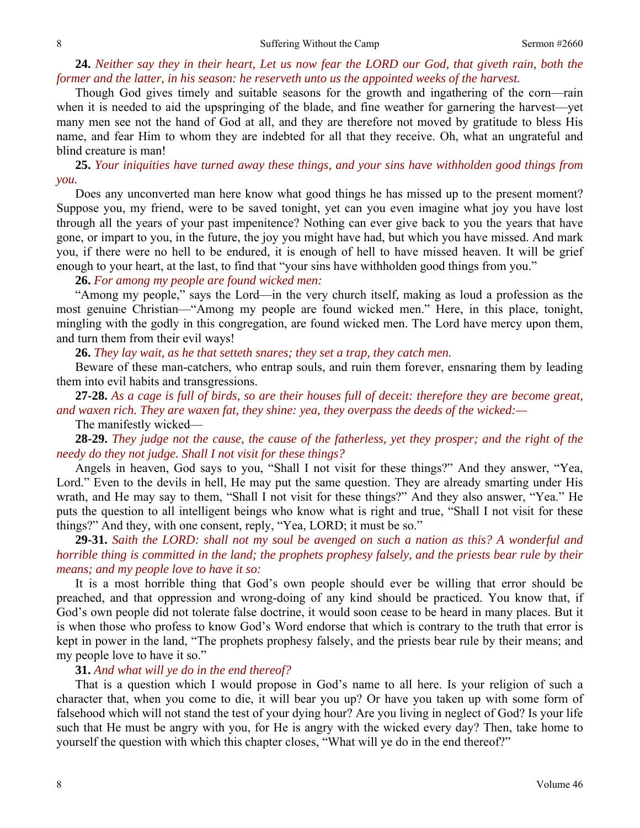#### 8 Suffering Without the Camp Sermon #2660

## **24.** *Neither say they in their heart, Let us now fear the LORD our God, that giveth rain, both the former and the latter, in his season: he reserveth unto us the appointed weeks of the harvest.*

Though God gives timely and suitable seasons for the growth and ingathering of the corn—rain when it is needed to aid the upspringing of the blade, and fine weather for garnering the harvest—yet many men see not the hand of God at all, and they are therefore not moved by gratitude to bless His name, and fear Him to whom they are indebted for all that they receive. Oh, what an ungrateful and blind creature is man!

**25.** *Your iniquities have turned away these things, and your sins have withholden good things from you.* 

Does any unconverted man here know what good things he has missed up to the present moment? Suppose you, my friend, were to be saved tonight, yet can you even imagine what joy you have lost through all the years of your past impenitence? Nothing can ever give back to you the years that have gone, or impart to you, in the future, the joy you might have had, but which you have missed. And mark you, if there were no hell to be endured, it is enough of hell to have missed heaven. It will be grief enough to your heart, at the last, to find that "your sins have withholden good things from you."

### **26.** *For among my people are found wicked men:*

"Among my people," says the Lord—in the very church itself, making as loud a profession as the most genuine Christian—"Among my people are found wicked men." Here, in this place, tonight, mingling with the godly in this congregation, are found wicked men. The Lord have mercy upon them, and turn them from their evil ways!

**26.** *They lay wait, as he that setteth snares; they set a trap, they catch men.* 

Beware of these man-catchers, who entrap souls, and ruin them forever, ensnaring them by leading them into evil habits and transgressions.

**27-28.** *As a cage is full of birds, so are their houses full of deceit: therefore they are become great, and waxen rich. They are waxen fat, they shine: yea, they overpass the deeds of the wicked:—*  The manifestly wicked—

**28-29.** *They judge not the cause, the cause of the fatherless, yet they prosper; and the right of the needy do they not judge. Shall I not visit for these things?* 

Angels in heaven, God says to you, "Shall I not visit for these things?" And they answer, "Yea, Lord." Even to the devils in hell, He may put the same question. They are already smarting under His wrath, and He may say to them, "Shall I not visit for these things?" And they also answer, "Yea." He puts the question to all intelligent beings who know what is right and true, "Shall I not visit for these things?" And they, with one consent, reply, "Yea, LORD; it must be so."

**29-31.** *Saith the LORD: shall not my soul be avenged on such a nation as this? A wonderful and horrible thing is committed in the land; the prophets prophesy falsely, and the priests bear rule by their means; and my people love to have it so:* 

It is a most horrible thing that God's own people should ever be willing that error should be preached, and that oppression and wrong-doing of any kind should be practiced. You know that, if God's own people did not tolerate false doctrine, it would soon cease to be heard in many places. But it is when those who profess to know God's Word endorse that which is contrary to the truth that error is kept in power in the land, "The prophets prophesy falsely, and the priests bear rule by their means; and my people love to have it so."

#### **31.** *And what will ye do in the end thereof?*

That is a question which I would propose in God's name to all here. Is your religion of such a character that, when you come to die, it will bear you up? Or have you taken up with some form of falsehood which will not stand the test of your dying hour? Are you living in neglect of God? Is your life such that He must be angry with you, for He is angry with the wicked every day? Then, take home to yourself the question with which this chapter closes, "What will ye do in the end thereof?"